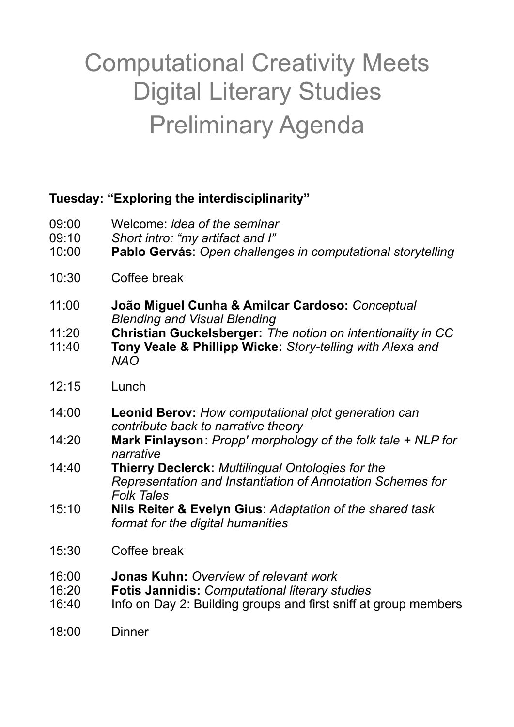## Computational Creativity Meets Digital Literary Studies Preliminary Agenda

## **Tuesday: "Exploring the interdisciplinarity"**

- 09:00 Welcome: *idea of the seminar*
- 09:10 *Short intro: "my artifact and I"*
- 10:00 **Pablo Gervás**: *Open challenges in computational storytelling*
- 10:30 Coffee break
- 11:00 **João Miguel Cunha & Amilcar Cardoso:** *Conceptual Blending and Visual Blending*
- 11:20 **Christian Guckelsberger:** *The notion on intentionality in CC*
- 11:40 **Tony Veale & Phillipp Wicke:** *Story-telling with Alexa and NAO*
- 12:15 Lunch
- 14:00 **Leonid Berov:** *How computational plot generation can contribute back to narrative theory*
- 14:20 **Mark Finlayson** : *Propp' morphology of the folk tale + NLP for narrative*
- 14:40 **Thierry Declerck:** *Multilingual Ontologies for the Representation and Instantiation of Annotation Schemes for Folk Tales*
- 15:10 **Nils Reiter & Evelyn Gius**: *Adaptation of the shared task format for the digital humanities*
- 15:30 Coffee break
- 16:00 **Jonas Kuhn:** *Overview of relevant work*
- 16:20 **Fotis Jannidis:** *Computational literary studies*
- 16:40 Info on Day 2: Building groups and first sniff at group members
- 18:00 Dinner